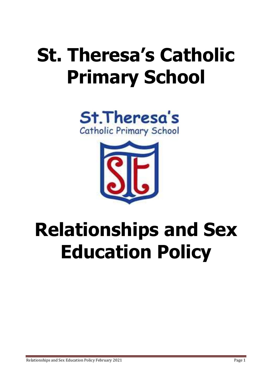# **St. Theresa's Catholic Primary School**





# **Relationships and Sex Education Policy**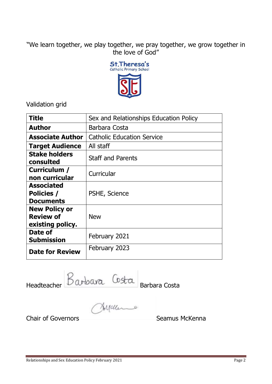"We learn together, we play together, we pray together, we grow together in the love of God"



Validation grid

| <b>Title</b>                                                 | Sex and Relationships Education Policy |
|--------------------------------------------------------------|----------------------------------------|
| <b>Author</b>                                                | Barbara Costa                          |
| <b>Associate Author</b>                                      | <b>Catholic Education Service</b>      |
| <b>Target Audience</b>                                       | All staff                              |
| <b>Stake holders</b><br>consulted                            | <b>Staff and Parents</b>               |
| Curriculum /<br>non curricular                               | Curricular                             |
| <b>Associated</b><br>Policies /<br><b>Documents</b>          | PSHE, Science                          |
| <b>New Policy or</b><br><b>Review of</b><br>existing policy. | <b>New</b>                             |
| Date of<br><b>Submission</b>                                 | February 2021                          |
| <b>Date for Review</b>                                       | February 2023                          |

Headteacher Barbara Costa

Chair of Governors **Seamus McKenna**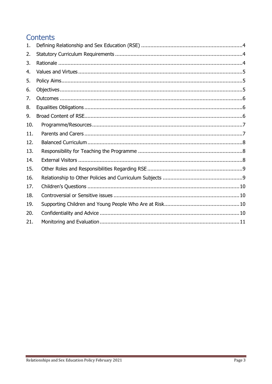# Contents

| 1.  |  |
|-----|--|
| 2.  |  |
| 3.  |  |
| 4.  |  |
| 5.  |  |
| 6.  |  |
| 7.  |  |
| 8.  |  |
| 9.  |  |
| 10. |  |
| 11. |  |
| 12. |  |
| 13. |  |
| 14. |  |
| 15. |  |
| 16. |  |
| 17. |  |
| 18. |  |
| 19. |  |
| 20. |  |
| 21. |  |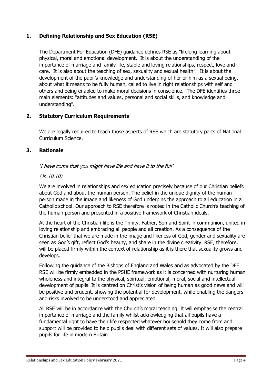# <span id="page-3-0"></span>**1. Defining Relationship and Sex Education (RSE)**

The Department For Education (DFE) guidance defines RSE as "lifelong learning about physical, moral and emotional development. It is about the understanding of the importance of marriage and family life, stable and loving relationships, respect, love and care. It is also about the teaching of sex, sexuality and sexual health". It is about the development of the pupil's knowledge and understanding of her or him as a sexual being, about what it means to be fully human, called to live in right relationships with self and others and being enabled to make moral decisions in conscience. The DFE identifies three main elements: "attitudes and values, personal and social skills, and knowledge and understanding".

# <span id="page-3-1"></span>**2. Statutory Curriculum Requirements**

We are legally required to teach those aspects of RSE which are statutory parts of National Curriculum Science.

# <span id="page-3-2"></span>**3. Rationale**

# 'I have come that you might have life and have it to the full'

# (Jn.10.10)

We are involved in relationships and sex education precisely because of our Christian beliefs about God and about the human person. The belief in the unique dignity of the human person made in the image and likeness of God underpins the approach to all education in a Catholic school. Our approach to RSE therefore is rooted in the Catholic Church's teaching of the human person and presented in a positive framework of Christian ideals.

At the heart of the Christian life is the Trinity, Father, Son and Spirit in communion, united in loving relationship and embracing all people and all creation. As a consequence of the Christian belief that we are made in the image and likeness of God, gender and sexuality are seen as God's gift, reflect God's beauty, and share in the divine creativity. RSE, therefore, will be placed firmly within the context of relationship as it is there that sexuality grows and develops.

Following the guidance of the Bishops of England and Wales and as advocated by the DFE RSE will be firmly embedded in the PSHE framework as it is concerned with nurturing human wholeness and integral to the physical, spiritual, emotional, moral, social and intellectual development of pupils. It is centred on Christ's vision of being human as good news and will be positive and prudent, showing the potential for development, while enabling the dangers and risks involved to be understood and appreciated.

All RSE will be in accordance with the Church's moral teaching. It will emphasise the central importance of marriage and the family whilst acknowledging that all pupils have a fundamental right to have their life respected whatever household they come from and support will be provided to help pupils deal with different sets of values. It will also prepare pupils for life in modern Britain.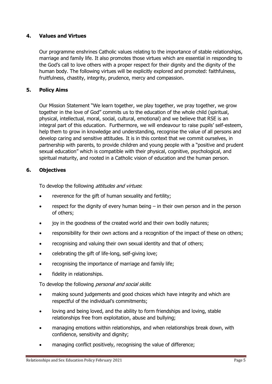# <span id="page-4-0"></span>**4. Values and Virtues**

Our programme enshrines Catholic values relating to the importance of stable relationships, marriage and family life. It also promotes those virtues which are essential in responding to the God's call to love others with a proper respect for their dignity and the dignity of the human body. The following virtues will be explicitly explored and promoted: faithfulness, fruitfulness, chastity, integrity, prudence, mercy and compassion.

# <span id="page-4-1"></span>**5. Policy Aims**

Our Mission Statement "We learn together, we play together, we pray together, we grow together in the love of God" commits us to the education of the whole child (spiritual, physical, intellectual, moral, social, cultural, emotional) and we believe that RSE is an integral part of this education. Furthermore, we will endeavour to raise pupils' self-esteem, help them to grow in knowledge and understanding, recognise the value of all persons and develop caring and sensitive attitudes. It is in this context that we commit ourselves, in partnership with parents, to provide children and young people with a "positive and prudent sexual education" which is compatible with their physical, cognitive, psychological, and spiritual maturity, and rooted in a Catholic vision of education and the human person.

# <span id="page-4-2"></span>**6. Objectives**

To develop the following attitudes and virtues:

- reverence for the gift of human sexuality and fertility;
- respect for the dignity of every human being in their own person and in the person of others;
- iov in the goodness of the created world and their own bodily natures;
- responsibility for their own actions and a recognition of the impact of these on others;
- recognising and valuing their own sexual identity and that of others;
- celebrating the gift of life-long, self-giving love;
- recognising the importance of marriage and family life;
- fidelity in relationships.

To develop the following *personal and social skills*:

- making sound judgements and good choices which have integrity and which are respectful of the individual's commitments;
- loving and being loved, and the ability to form friendships and loving, stable relationships free from exploitation, abuse and bullying;
- managing emotions within relationships, and when relationships break down, with confidence, sensitivity and dignity;
- managing conflict positively, recognising the value of difference;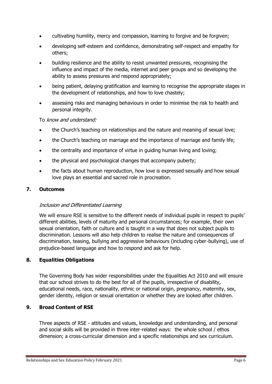- cultivating humility, mercy and compassion, learning to forgive and be forgiven;
- developing self-esteem and confidence, demonstrating self-respect and empathy for others;
- building resilience and the ability to resist unwanted pressures, recognising the influence and impact of the media, internet and peer groups and so developing the ability to assess pressures and respond appropriately;
- being patient, delaying gratification and learning to recognise the appropriate stages in the development of relationships, and how to love chastely;
- assessing risks and managing behaviours in order to minimise the risk to health and personal integrity.

# To know and understand:

- the Church's teaching on relationships and the nature and meaning of sexual love;
- the Church's teaching on marriage and the importance of marriage and family life;
- the centrality and importance of virtue in guiding human living and loving;
- the physical and psychological changes that accompany puberty;
- the facts about human reproduction, how love is expressed sexually and how sexual love plays an essential and sacred role in procreation.

# <span id="page-5-0"></span>**7. Outcomes**

# Inclusion and Differentiated Learning

We will ensure RSE is sensitive to the different needs of individual pupils in respect to pupils' different abilities, levels of maturity and personal circumstances; for example, their own sexual orientation, faith or culture and is taught in a way that does not subject pupils to discrimination. Lessons will also help children to realise the nature and consequences of discrimination, teasing, bullying and aggressive behaviours (including cyber-bullying), use of prejudice-based language and how to respond and ask for help.

# <span id="page-5-1"></span>**8. Equalities Obligations**

The Governing Body has wider responsibilities under the Equalities Act 2010 and will ensure that our school strives to do the best for all of the pupils, irrespective of disability, educational needs, race, nationality, ethnic or national origin, pregnancy, maternity, sex, gender identity, religion or sexual orientation or whether they are looked after children.

# <span id="page-5-2"></span>**9. Broad Content of RSE**

Three aspects of RSE - attitudes and values, knowledge and understanding, and personal and social skills will be provided in three inter-related ways: the whole school / ethos dimension; a cross-curricular dimension and a specific relationships and sex curriculum.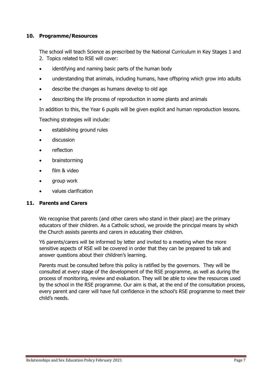# <span id="page-6-0"></span>**10. Programme/Resources**

The school will teach Science as prescribed by the National Curriculum in Key Stages 1 and 2. Topics related to RSE will cover:

- identifying and naming basic parts of the human body
- understanding that animals, including humans, have offspring which grow into adults
- describe the changes as humans develop to old age
- describing the life process of reproduction in some plants and animals

In addition to this, the Year 6 pupils will be given explicit and human reproduction lessons.

Teaching strategies will include:

- establishing ground rules
- discussion
- reflection
- brainstorming
- film & video
- group work
- values clarification

#### <span id="page-6-1"></span>**11. Parents and Carers**

We recognise that parents (and other carers who stand in their place) are the primary educators of their children. As a Catholic school, we provide the principal means by which the Church assists parents and carers in educating their children.

Y6 parents/carers will be informed by letter and invited to a meeting when the more sensitive aspects of RSE will be covered in order that they can be prepared to talk and answer questions about their children's learning.

Parents must be consulted before this policy is ratified by the governors. They will be consulted at every stage of the development of the RSE programme, as well as during the process of monitoring, review and evaluation. They will be able to view the resources used by the school in the RSE programme. Our aim is that, at the end of the consultation process, every parent and carer will have full confidence in the school's RSE programme to meet their child's needs.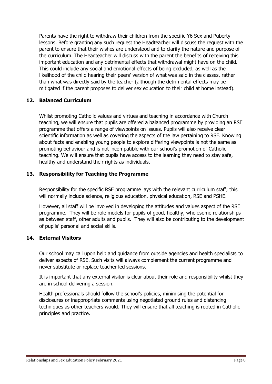Parents have the right to withdraw their children from the specific Y6 Sex and Puberty lessons. Before granting any such request the Headteacher will discuss the request with the parent to ensure that their wishes are understood and to clarify the nature and purpose of the curriculum. The Headteacher will discuss with the parent the benefits of receiving this important education and any detrimental effects that withdrawal might have on the child. This could include any social and emotional effects of being excluded, as well as the likelihood of the child hearing their peers' version of what was said in the classes, rather than what was directly said by the teacher (although the detrimental effects may be mitigated if the parent proposes to deliver sex education to their child at home instead).

# <span id="page-7-0"></span>**12. Balanced Curriculum**

Whilst promoting Catholic values and virtues and teaching in accordance with Church teaching, we will ensure that pupils are offered a balanced programme by providing an RSE programme that offers a range of viewpoints on issues. Pupils will also receive clear scientific information as well as covering the aspects of the law pertaining to RSE. Knowing about facts and enabling young people to explore differing viewpoints is not the same as promoting behaviour and is not incompatible with our school's promotion of Catholic teaching. We will ensure that pupils have access to the learning they need to stay safe, healthy and understand their rights as individuals.

# <span id="page-7-1"></span>**13. Responsibility for Teaching the Programme**

Responsibility for the specific RSE programme lays with the relevant curriculum staff; this will normally include science, religious education, physical education, RSE and PSHE.

However, all staff will be involved in developing the attitudes and values aspect of the RSE programme. They will be role models for pupils of good, healthy, wholesome relationships as between staff, other adults and pupils. They will also be contributing to the development of pupils' personal and social skills.

# <span id="page-7-2"></span>**14. External Visitors**

Our school may call upon help and guidance from outside agencies and health specialists to deliver aspects of RSE. Such visits will always complement the current programme and never substitute or replace teacher led sessions.

It is important that any external visitor is clear about their role and responsibility whilst they are in school delivering a session.

Health professionals should follow the school's policies, minimising the potential for disclosures or inappropriate comments using negotiated ground rules and distancing techniques as other teachers would. They will ensure that all teaching is rooted in Catholic principles and practice.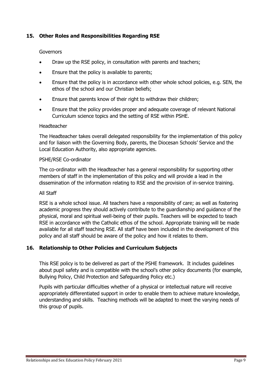# <span id="page-8-0"></span>**15. Other Roles and Responsibilities Regarding RSE**

#### **Governors**

- Draw up the RSE policy, in consultation with parents and teachers;
- **Ensure that the policy is available to parents;**
- Ensure that the policy is in accordance with other whole school policies, e.g. SEN, the ethos of the school and our Christian beliefs;
- Ensure that parents know of their right to withdraw their children;
- Ensure that the policy provides proper and adequate coverage of relevant National Curriculum science topics and the setting of RSE within PSHE.

#### Headteacher

The Headteacher takes overall delegated responsibility for the implementation of this policy and for liaison with the Governing Body, parents, the Diocesan Schools' Service and the Local Education Authority, also appropriate agencies.

#### PSHE/RSE Co-ordinator

The co-ordinator with the Headteacher has a general responsibility for supporting other members of staff in the implementation of this policy and will provide a lead in the dissemination of the information relating to RSE and the provision of in-service training.

#### All Staff

RSE is a whole school issue. All teachers have a responsibility of care; as well as fostering academic progress they should actively contribute to the guardianship and guidance of the physical, moral and spiritual well-being of their pupils. Teachers will be expected to teach RSE in accordance with the Catholic ethos of the school. Appropriate training will be made available for all staff teaching RSE. All staff have been included in the development of this policy and all staff should be aware of the policy and how it relates to them.

#### <span id="page-8-1"></span>**16. Relationship to Other Policies and Curriculum Subjects**

This RSE policy is to be delivered as part of the PSHE framework. It includes guidelines about pupil safety and is compatible with the school's other policy documents (for example, Bullying Policy, Child Protection and Safeguarding Policy etc.)

Pupils with particular difficulties whether of a physical or intellectual nature will receive appropriately differentiated support in order to enable them to achieve mature knowledge, understanding and skills. Teaching methods will be adapted to meet the varying needs of this group of pupils.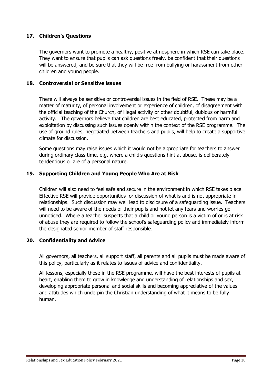# <span id="page-9-0"></span>**17. Children's Questions**

The governors want to promote a healthy, positive atmosphere in which RSE can take place. They want to ensure that pupils can ask questions freely, be confident that their questions will be answered, and be sure that they will be free from bullying or harassment from other children and young people.

# <span id="page-9-1"></span>**18. Controversial or Sensitive issues**

There will always be sensitive or controversial issues in the field of RSE. These may be a matter of maturity, of personal involvement or experience of children, of disagreement with the official teaching of the Church, of illegal activity or other doubtful, dubious or harmful activity. The governors believe that children are best educated, protected from harm and exploitation by discussing such issues openly within the context of the RSE programme. The use of ground rules, negotiated between teachers and pupils, will help to create a supportive climate for discussion.

Some questions may raise issues which it would not be appropriate for teachers to answer during ordinary class time, e.g. where a child's questions hint at abuse, is deliberately tendentious or are of a personal nature.

# <span id="page-9-2"></span>**19. Supporting Children and Young People Who Are at Risk**

Children will also need to feel safe and secure in the environment in which RSE takes place. Effective RSE will provide opportunities for discussion of what is and is not appropriate in relationships. Such discussion may well lead to disclosure of a safeguarding issue. Teachers will need to be aware of the needs of their pupils and not let any fears and worries go unnoticed. Where a teacher suspects that a child or young person is a victim of or is at risk of abuse they are required to follow the school's safeguarding policy and immediately inform the designated senior member of staff responsible.

# <span id="page-9-3"></span>**20. Confidentiality and Advice**

All governors, all teachers, all support staff, all parents and all pupils must be made aware of this policy, particularly as it relates to issues of advice and confidentiality.

All lessons, especially those in the RSE programme, will have the best interests of pupils at heart, enabling them to grow in knowledge and understanding of relationships and sex, developing appropriate personal and social skills and becoming appreciative of the values and attitudes which underpin the Christian understanding of what it means to be fully human.